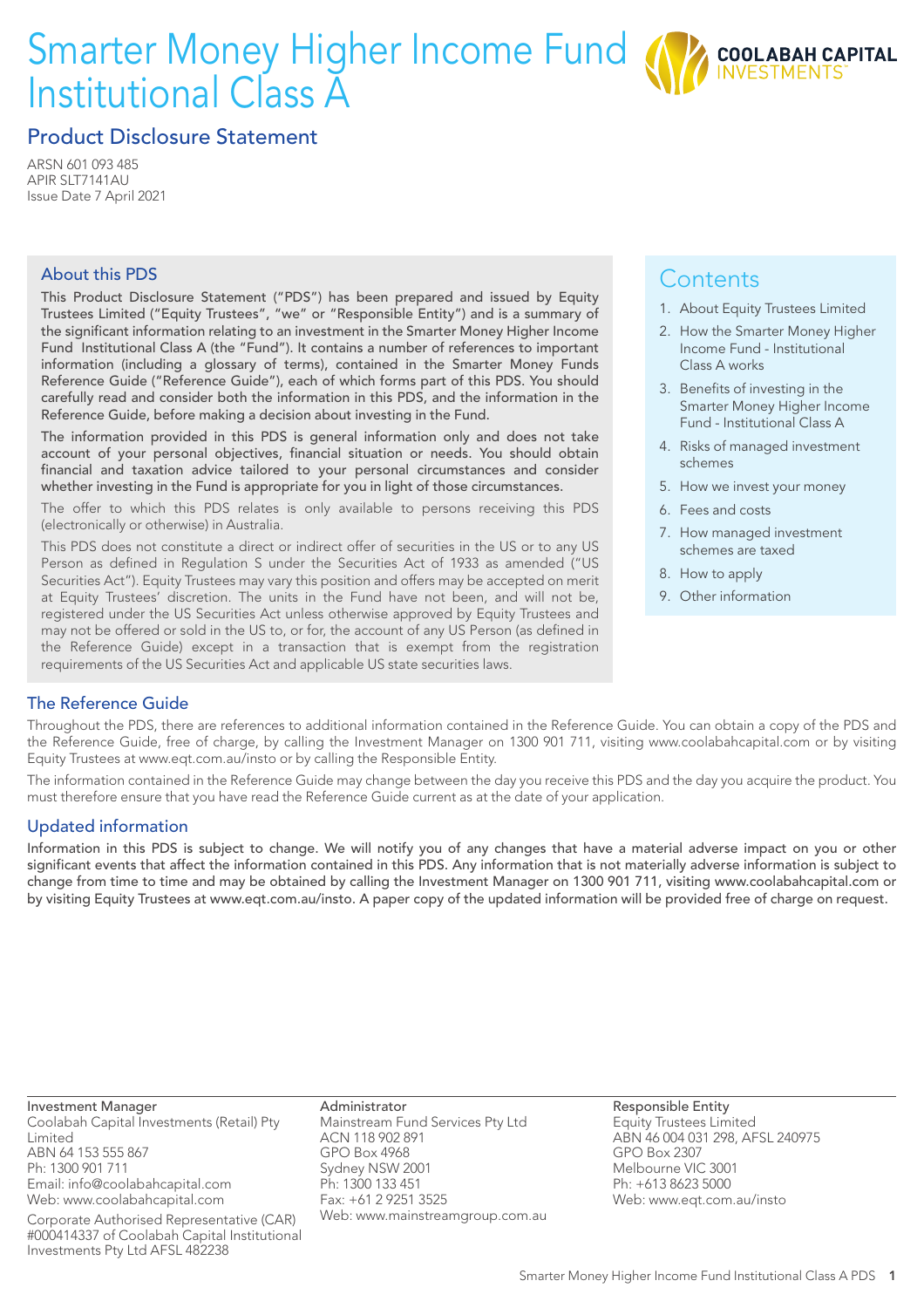# Smarter Money Higher Income Fund Institutional Class A



### Product Disclosure Statement

ARSN 601 093 485 APIR SLT7141AU Issue Date 7 April 2021

#### About this PDS

This Product Disclosure Statement ("PDS") has been prepared and issued by Equity Trustees Limited ("Equity Trustees", "we" or "Responsible Entity") and is a summary of the significant information relating to an investment in the Smarter Money Higher Income Fund Institutional Class A (the "Fund"). It contains a number of references to important information (including a glossary of terms), contained in the Smarter Money Funds Reference Guide ("Reference Guide"), each of which forms part of this PDS. You should carefully read and consider both the information in this PDS, and the information in the Reference Guide, before making a decision about investing in the Fund.

The information provided in this PDS is general information only and does not take account of your personal objectives, financial situation or needs. You should obtain financial and taxation advice tailored to your personal circumstances and consider whether investing in the Fund is appropriate for you in light of those circumstances.

The offer to which this PDS relates is only available to persons receiving this PDS (electronically or otherwise) in Australia.

This PDS does not constitute a direct or indirect offer of securities in the US or to any US Person as defined in Regulation S under the Securities Act of 1933 as amended ("US Securities Act"). Equity Trustees may vary this position and offers may be accepted on merit at Equity Trustees' discretion. The units in the Fund have not been, and will not be, registered under the US Securities Act unless otherwise approved by Equity Trustees and may not be offered or sold in the US to, or for, the account of any US Person (as defined in the Reference Guide) except in a transaction that is exempt from the registration requirements of the US Securities Act and applicable US state securities laws.

# **Contents**

- 1. About Equity Trustees Limited
- 2. How the Smarter Money Higher Income Fund - Institutional Class A works
- 3. Benefits of investing in the Smarter Money Higher Income Fund - Institutional Class A
- 4. Risks of managed investment schemes
- 5. How we invest your money
- 6. Fees and costs
- 7. How managed investment schemes are taxed
- 8. How to apply
- 9. Other information

#### The Reference Guide

Throughout the PDS, there are references to additional information contained in the Reference Guide. You can obtain a copy of the PDS and the Reference Guide, free of charge, by calling the Investment Manager on 1300 901 711, visiting www.coolabahcapital.com or by visiting Equity Trustees at www.eqt.com.au/insto or by calling the Responsible Entity.

The information contained in the Reference Guide may change between the day you receive this PDS and the day you acquire the product. You must therefore ensure that you have read the Reference Guide current as at the date of your application.

#### Updated information

Information in this PDS is subject to change. We will notify you of any changes that have a material adverse impact on you or other significant events that affect the information contained in this PDS. Any information that is not materially adverse information is subject to change from time to time and may be obtained by calling the Investment Manager on 1300 901 711, visiting www.coolabahcapital.com or by visiting Equity Trustees at www.eqt.com.au/insto. A paper copy of the updated information will be provided free of charge on request.

Investment Manager Coolabah Capital Investments (Retail) Pty Limited ABN 64 153 555 867 Ph: 1300 901 711 Email: info@coolabahcapital.com

Web: www.coolabahcapital.com

Corporate Authorised Representative (CAR) #000414337 of Coolabah Capital Institutional Investments Pty Ltd AFSL 482238

Administrator Mainstream Fund Services Pty Ltd ACN 118 902 891 GPO Box 4968 Sydney NSW 2001 Ph: 1300 133 451 Fax: +61 2 9251 3525 Web: www.mainstreamgroup.com.au Responsible Entity Equity Trustees Limited ABN 46 004 031 298, AFSL 240975 GPO Box 2307 Melbourne VIC 3001 Ph: +613 8623 5000 Web: www.eqt.com.au/insto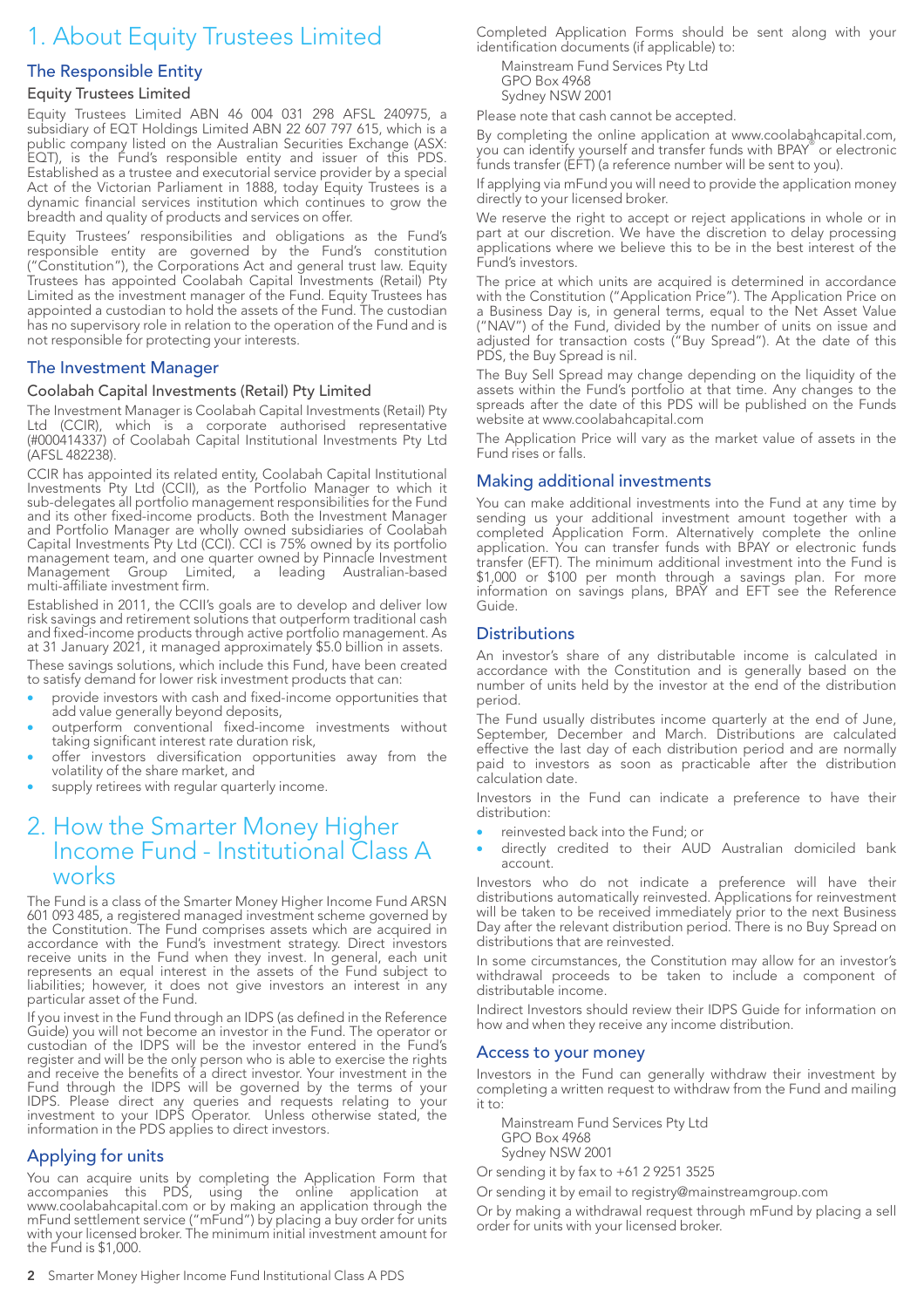# 1. About Equity Trustees Limited

#### The Responsible Entity

#### Equity Trustees Limited

Equity Trustees Limited ABN 46 004 031 298 AFSL 240975, a subsidiary of EQT Holdings Limited ABN 22 607 797 615, which is a public company listed on the Australian Securities Exchange (ASX: EQT), is the Fund's responsible entity and issuer of this PDS. Established as a trustee and executorial service provider by a special Act of the Victorian Parliament in 1888, today Equity Trustees is a dynamic financial services institution which continues to grow the breadth and quality of products and services on offer.

Equity Trustees' responsibilities and obligations as the Fund's responsible entity are governed by the Fund's constitution ("Constitution"), the Corporations Act and general trust law. Equity Trustees has appointed Coolabah Capital Investments (Retail) Pty Limited as the investment manager of the Fund. Equity Trustees has appointed a custodian to hold the assets of the Fund. The custodian has no supervisory role in relation to the operation of the Fund and is not responsible for protecting your interests.

#### The Investment Manager

#### Coolabah Capital Investments (Retail) Pty Limited

The Investment Manager is Coolabah Capital Investments (Retail) Pty Ltd (CCIR), which is a corporate authorised representative (#000414337) of Coolabah Capital Institutional Investments Pty Ltd (AFSL 482238).

CCIR has appointed its related entity, Coolabah Capital Institutional Investments Pty Ltd (CCII), as the Portfolio Manager to which it sub-delegates all portfolio management responsibilities for the Fund and its other fixed-income products. Both the Investment Manager and Portfolio Manager are wholly owned subsidiaries of Coolabah Capital Investments Pty Ltd (CCI). CCI is 75% owned by its portfolio management team, and one quarter owned by Pinnacle Investment Management Group Limited, a leading Australian-based multi-affiliate investment firm.

Established in 2011, the CCII's goals are to develop and deliver low risk savings and retirement solutions that outperform traditional cash and fixed-income products through active portfolio management. As at 31 January 2021, it managed approximately \$5.0 billion in assets.

These savings solutions, which include this Fund, have been created to satisfy demand for lower risk investment products that can:

- provide investors with cash and fixed-income opportunities that add value generally beyond deposits,
- outperform conventional fixed-income investments without taking significant interest rate duration risk,
- offer investors diversification opportunities away from the volatility of the share market, and
- supply retirees with regular quarterly income.

### 2. How the Smarter Money Higher Income Fund - Institutional Class A works

The Fund is a class of the Smarter Money Higher Income Fund ARSN 601 093 485, a registered managed investment scheme governed by the Constitution. The Fund comprises assets which are acquired in accordance with the Fund's investment strategy. Direct investors receive units in the Fund when they invest. In general, each unit represents an equal interest in the assets of the Fund subject to liabilities; however, it does not give investors an interest in any particular asset of the Fund.

If you invest in the Fund through an IDPS (as defined in the Reference Guide) you will not become an investor in the Fund. The operator or custodian of the IDPS will be the investor entered in the Fund's register and will be the only person who is able to exercise the rights and receive the benefits of a direct investor. Your investment in the Fund through the IDPS will be governed by the terms of your IDPS. Please direct any queries and requests relating to your investment to your IDPS Operator. Unless otherwise stated, the information in the PDS applies to direct investors.

#### Applying for units

You can acquire units by completing the Application Form that accompanies this PDS, using the online application at www.coolabahcapital.com or by making an application through the mFund settlement service ("mFund") by placing a buy order for units with your licensed broker. The minimum initial investment amount for the Fund is \$1,000.

Completed Application Forms should be sent along with your identification documents (if applicable) to:

Mainstream Fund Services Pty Ltd GPO Box 4968 Sydney NSW 2001

Please note that cash cannot be accepted.

By completing the online application at www.coolabahcapital.com, you can identify yourself and transfer funds with BPAY® or electronic funds transfer (EFT) (a reference number will be sent to you).

If applying via mFund you will need to provide the application money directly to your licensed broker.

We reserve the right to accept or reject applications in whole or in part at our discretion. We have the discretion to delay processing applications where we believe this to be in the best interest of the Fund's investors.

The price at which units are acquired is determined in accordance with the Constitution ("Application Price"). The Application Price on a Business Day is, in general terms, equal to the Net Asset Value ("NAV") of the Fund, divided by the number of units on issue and adjusted for transaction costs ("Buy Spread"). At the date of this PDS, the Buy Spread is nil.

The Buy Sell Spread may change depending on the liquidity of the assets within the Fund's portfolio at that time. Any changes to the spreads after the date of this PDS will be published on the Funds website at www.coolabahcapital.com

The Application Price will vary as the market value of assets in the Fund rises or falls.

#### Making additional investments

You can make additional investments into the Fund at any time by sending us your additional investment amount together with a completed Application Form. Alternatively complete the online application. You can transfer funds with BPAY or electronic funds transfer (EFT). The minimum additional investment into the Fund is \$1,000 or \$100 per month through a savings plan. For more information on savings plans, BPAY and EFT see the Reference Guide.

#### **Distributions**

An investor's share of any distributable income is calculated in accordance with the Constitution and is generally based on the number of units held by the investor at the end of the distribution period.

The Fund usually distributes income quarterly at the end of June, September, December and March. Distributions are calculated effective the last day of each distribution period and are normally paid to investors as soon as practicable after the distribution calculation date.

Investors in the Fund can indicate a preference to have their distribution:

- reinvested back into the Fund; or
- directly credited to their AUD Australian domiciled bank account.

Investors who do not indicate a preference will have their distributions automatically reinvested. Applications for reinvestment will be taken to be received immediately prior to the next Business Day after the relevant distribution period. There is no Buy Spread on distributions that are reinvested.

In some circumstances, the Constitution may allow for an investor's withdrawal proceeds to be taken to include a component of distributable income.

Indirect Investors should review their IDPS Guide for information on how and when they receive any income distribution.

#### Access to your money

Investors in the Fund can generally withdraw their investment by completing a written request to withdraw from the Fund and mailing it to:

Mainstream Fund Services Pty Ltd GPO Box 4968 Sydney NSW 2001

Or sending it by fax to +61 2 9251 3525

Or sending it by email to registry@mainstreamgroup.com

Or by making a withdrawal request through mFund by placing a sell order for units with your licensed broker.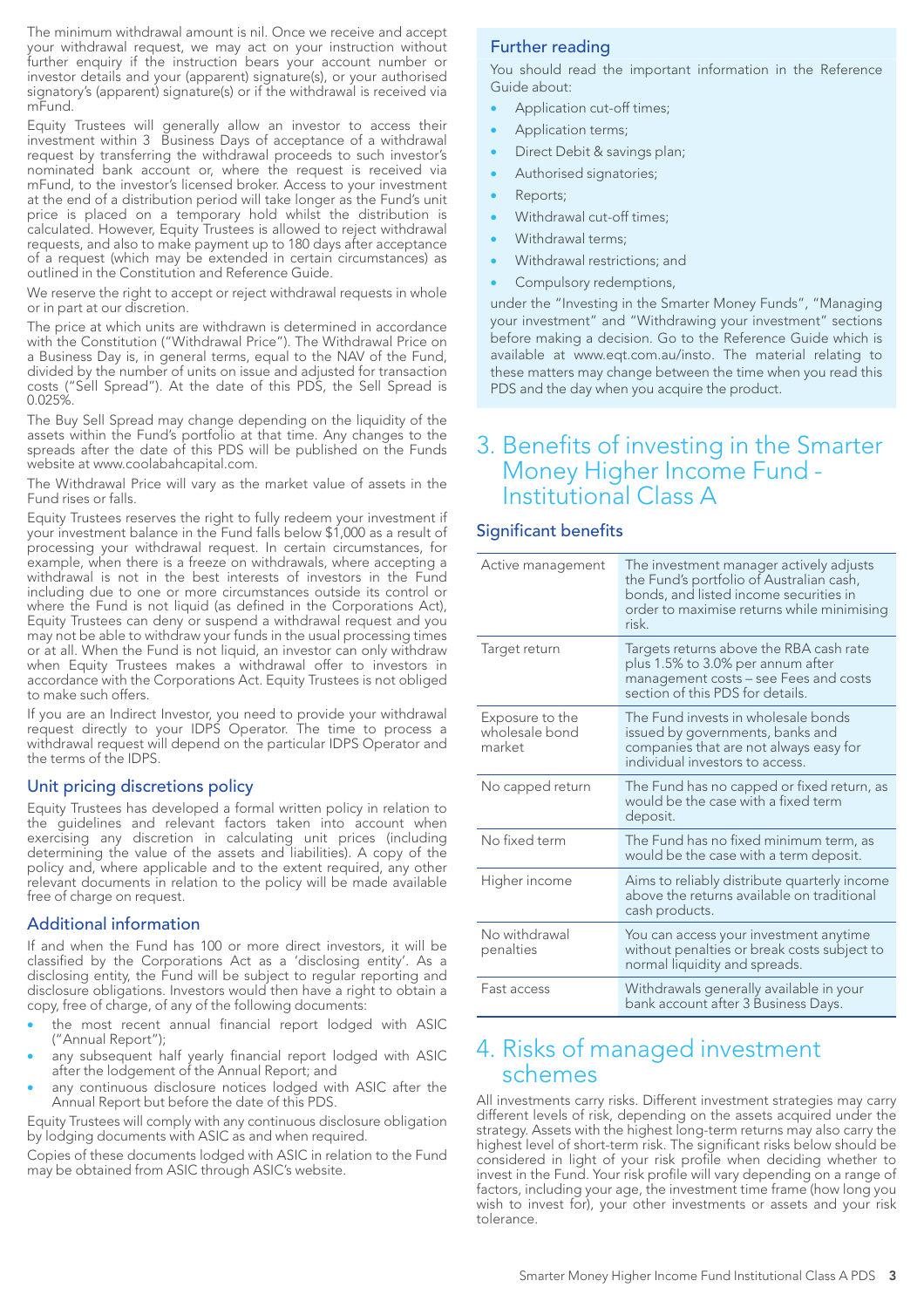The minimum withdrawal amount is nil. Once we receive and accept your withdrawal request, we may act on your instruction without further enquiry if the instruction bears your account number or investor details and your (apparent) signature(s), or your authorised signatory's (apparent) signature(s) or if the withdrawal is received via mFund.

Equity Trustees will generally allow an investor to access their investment within 3 Business Days of acceptance of a withdrawal request by transferring the withdrawal proceeds to such investor's nominated bank account or, where the request is received via mFund, to the investor's licensed broker. Access to your investment at the end of a distribution period will take longer as the Fund's unit price is placed on a temporary hold whilst the distribution is calculated. However, Equity Trustees is allowed to reject withdrawal requests, and also to make payment up to 180 days after acceptance of a request (which may be extended in certain circumstances) as outlined in the Constitution and Reference Guide.

We reserve the right to accept or reject withdrawal requests in whole or in part at our discretion.

The price at which units are withdrawn is determined in accordance with the Constitution ("Withdrawal Price"). The Withdrawal Price on a Business Day is, in general terms, equal to the NAV of the Fund, divided by the number of units on issue and adjusted for transaction costs ("Sell Spread"). At the date of this PDS, the Sell Spread is 0.025%.

The Buy Sell Spread may change depending on the liquidity of the assets within the Fund's portfolio at that time. Any changes to the spreads after the date of this PDS will be published on the Funds website at www.coolabahcapital.com.

The Withdrawal Price will vary as the market value of assets in the Fund rises or falls.

Equity Trustees reserves the right to fully redeem your investment if your investment balance in the Fund falls below \$1,000 as a result of processing your withdrawal request. In certain circumstances, for example, when there is a freeze on withdrawals, where accepting a withdrawal is not in the best interests of investors in the Fund including due to one or more circumstances outside its control or where the Fund is not liquid (as defined in the Corporations Act), Equity Trustees can deny or suspend a withdrawal request and you may not be able to withdraw your funds in the usual processing times or at all. When the Fund is not liquid, an investor can only withdraw when Equity Trustees makes a withdrawal offer to investors in accordance with the Corporations Act. Equity Trustees is not obliged to make such offers.

If you are an Indirect Investor, you need to provide your withdrawal request directly to your IDPS Operator. The time to process a withdrawal request will depend on the particular IDPS Operator and the terms of the IDPS.

#### Unit pricing discretions policy

Equity Trustees has developed a formal written policy in relation to the guidelines and relevant factors taken into account when exercising any discretion in calculating unit prices (including determining the value of the assets and liabilities). A copy of the policy and, where applicable and to the extent required, any other relevant documents in relation to the policy will be made available free of charge on request.

#### Additional information

If and when the Fund has 100 or more direct investors, it will be classified by the Corporations Act as a 'disclosing entity'. As a disclosing entity, the Fund will be subject to regular reporting and disclosure obligations. Investors would then have a right to obtain a copy, free of charge, of any of the following documents:

- the most recent annual financial report lodged with ASIC ("Annual Report");
- any subsequent half yearly financial report lodged with ASIC after the lodgement of the Annual Report; and
- any continuous disclosure notices lodged with ASIC after the Annual Report but before the date of this PDS.

Equity Trustees will comply with any continuous disclosure obligation by lodging documents with ASIC as and when required.

Copies of these documents lodged with ASIC in relation to the Fund may be obtained from ASIC through ASIC's website.

#### Further reading

You should read the important information in the Reference Guide about:

- Application cut-off times;
- Application terms;
- Direct Debit & savings plan;
- Authorised signatories;
- Reports;
- Withdrawal cut-off times;
- Withdrawal terms;
- Withdrawal restrictions; and
- Compulsory redemptions,

under the "Investing in the Smarter Money Funds", "Managing your investment" and "Withdrawing your investment" sections before making a decision. Go to the Reference Guide which is available at www.eqt.com.au/insto. The material relating to these matters may change between the time when you read this PDS and the day when you acquire the product.

### 3. Benefits of investing in the Smarter Money Higher Income Fund - Institutional Class A

#### Significant benefits

| Active management                           | The investment manager actively adjusts<br>the Fund's portfolio of Australian cash,<br>bonds, and listed income securities in<br>order to maximise returns while minimising<br>risk. |  |
|---------------------------------------------|--------------------------------------------------------------------------------------------------------------------------------------------------------------------------------------|--|
| Target return                               | Targets returns above the RBA cash rate<br>plus 1.5% to 3.0% per annum after<br>management costs - see Fees and costs<br>section of this PDS for details.                            |  |
| Exposure to the<br>wholesale bond<br>market | The Fund invests in wholesale bonds<br>issued by governments, banks and<br>companies that are not always easy for<br>individual investors to access.                                 |  |
| No capped return                            | The Fund has no capped or fixed return, as<br>would be the case with a fixed term<br>deposit.                                                                                        |  |
| No fixed term                               | The Fund has no fixed minimum term, as<br>would be the case with a term deposit.                                                                                                     |  |
| Higher income                               | Aims to reliably distribute quarterly income<br>above the returns available on traditional<br>cash products.                                                                         |  |
| No withdrawal<br>penalties                  | You can access your investment anytime<br>without penalties or break costs subject to<br>normal liquidity and spreads.                                                               |  |
| Fast access                                 | Withdrawals generally available in your<br>bank account after 3 Business Days.                                                                                                       |  |

## 4. Risks of managed investment schemes

All investments carry risks. Different investment strategies may carry different levels of risk, depending on the assets acquired under the strategy. Assets with the highest long-term returns may also carry the highest level of short-term risk. The significant risks below should be considered in light of your risk profile when deciding whether to invest in the Fund. Your risk profile will vary depending on a range of factors, including your age, the investment time frame (how long you wish to invest for), your other investments or assets and your risk tolerance.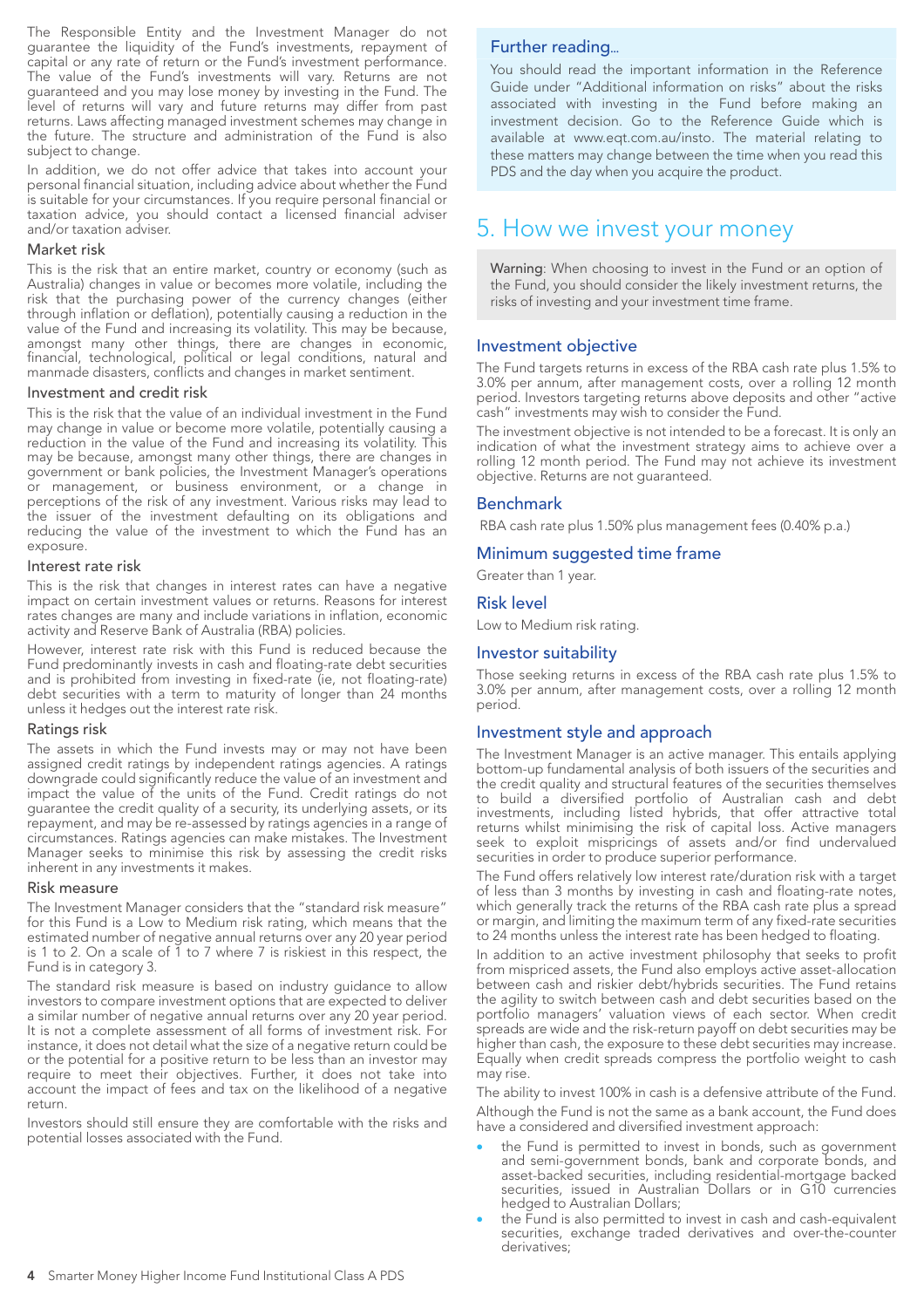The Responsible Entity and the Investment Manager do not guarantee the liquidity of the Fund's investments, repayment of capital or any rate of return or the Fund's investment performance. The value of the Fund's investments will vary. Returns are not guaranteed and you may lose money by investing in the Fund. The level of returns will vary and future returns may differ from past returns. Laws affecting managed investment schemes may change in the future. The structure and administration of the Fund is also subject to change.

In addition, we do not offer advice that takes into account your personal financial situation, including advice about whether the Fund is suitable for your circumstances. If you require personal financial or taxation advice, you should contact a licensed financial adviser and/or taxation adviser.

#### Market risk

This is the risk that an entire market, country or economy (such as Australia) changes in value or becomes more volatile, including the risk that the purchasing power of the currency changes (either through inflation or deflation), potentially causing a reduction in the value of the Fund and increasing its volatility. This may be because, amongst many other things, there are changes in economic, financial, technological, political or legal conditions, natural and manmade disasters, conflicts and changes in market sentiment.

#### Investment and credit risk

This is the risk that the value of an individual investment in the Fund may change in value or become more volatile, potentially causing a reduction in the value of the Fund and increasing its volatility. This may be because, amongst many other things, there are changes in government or bank policies, the Investment Manager's operations or management, or business environment, or a change in perceptions of the risk of any investment. Various risks may lead to the issuer of the investment defaulting on its obligations and reducing the value of the investment to which the Fund has an exposure.

#### Interest rate risk

This is the risk that changes in interest rates can have a negative impact on certain investment values or returns. Reasons for interest rates changes are many and include variations in inflation, economic activity and Reserve Bank of Australia (RBA) policies.

However, interest rate risk with this Fund is reduced because the Fund predominantly invests in cash and floating-rate debt securities and is prohibited from investing in fixed-rate (ie, not floating-rate) debt securities with a term to maturity of longer than 24 months unless it hedges out the interest rate risk.

#### Ratings risk

The assets in which the Fund invests may or may not have been assigned credit ratings by independent ratings agencies. A ratings downgrade could significantly reduce the value of an investment and impact the value of the units of the Fund. Credit ratings do not guarantee the credit quality of a security, its underlying assets, or its repayment, and may be re-assessed by ratings agencies in a range of circumstances. Ratings agencies can make mistakes. The Investment Manager seeks to minimise this risk by assessing the credit risks inherent in any investments it makes.

#### Risk measure

The Investment Manager considers that the "standard risk measure" for this Fund is a Low to Medium risk rating, which means that the estimated number of negative annual returns over any 20 year period is 1 to 2. On a scale of 1 to 7 where 7 is riskiest in this respect, the Fund is in category 3.

The standard risk measure is based on industry guidance to allow investors to compare investment options that are expected to deliver a similar number of negative annual returns over any 20 year period. It is not a complete assessment of all forms of investment risk. For instance, it does not detail what the size of a negative return could be or the potential for a positive return to be less than an investor may require to meet their objectives. Further, it does not take into account the impact of fees and tax on the likelihood of a negative return.

Investors should still ensure they are comfortable with the risks and potential losses associated with the Fund.

#### Further reading...

You should read the important information in the Reference Guide under "Additional information on risks" about the risks associated with investing in the Fund before making an investment decision. Go to the Reference Guide which is available at www.eqt.com.au/insto. The material relating to these matters may change between the time when you read this PDS and the day when you acquire the product.

# 5. How we invest your money

Warning: When choosing to invest in the Fund or an option of the Fund, you should consider the likely investment returns, the risks of investing and your investment time frame.

#### Investment objective

The Fund targets returns in excess of the RBA cash rate plus 1.5% to 3.0% per annum, after management costs, over a rolling 12 month period. Investors targeting returns above deposits and other "active cash" investments may wish to consider the Fund.

The investment objective is not intended to be a forecast. It is only an indication of what the investment strategy aims to achieve over a rolling 12 month period. The Fund may not achieve its investment objective. Returns are not guaranteed.

#### Benchmark

RBA cash rate plus 1.50% plus management fees (0.40% p.a.)

#### Minimum suggested time frame

Greater than 1 year.

#### Risk level

Low to Medium risk rating.

#### Investor suitability

Those seeking returns in excess of the RBA cash rate plus 1.5% to 3.0% per annum, after management costs, over a rolling 12 month period.

#### Investment style and approach

The Investment Manager is an active manager. This entails applying bottom-up fundamental analysis of both issuers of the securities and the credit quality and structural features of the securities themselves to build a diversified portfolio of Australian cash and debt investments, including listed hybrids, that offer attractive total returns whilst minimising the risk of capital loss. Active managers seek to exploit mispricings of assets and/or find undervalued securities in order to produce superior performance.

The Fund offers relatively low interest rate/duration risk with a target of less than 3 months by investing in cash and floating-rate notes, which generally track the returns of the RBA cash rate plus a spread or margin, and limiting the maximum term of any fixed-rate securities to 24 months unless the interest rate has been hedged to floating.

In addition to an active investment philosophy that seeks to profit from mispriced assets, the Fund also employs active asset-allocation between cash and riskier debt/hybrids securities. The Fund retains the agility to switch between cash and debt securities based on the portfolio managers' valuation views of each sector. When credit spreads are wide and the risk-return payoff on debt securities may be higher than cash, the exposure to these debt securities may increase. Equally when credit spreads compress the portfolio weight to cash may rise.

The ability to invest 100% in cash is a defensive attribute of the Fund. Although the Fund is not the same as a bank account, the Fund does have a considered and diversified investment approach:

- the Fund is permitted to invest in bonds, such as government and semi-government bonds, bank and corporate bonds, and asset-backed securities, including residential-mortgage backed securities, issued in Australian Dollars or in G10 currencies hedged to Australian Dollars;
- the Fund is also permitted to invest in cash and cash-equivalent securities, exchange traded derivatives and over-the-counter derivatives;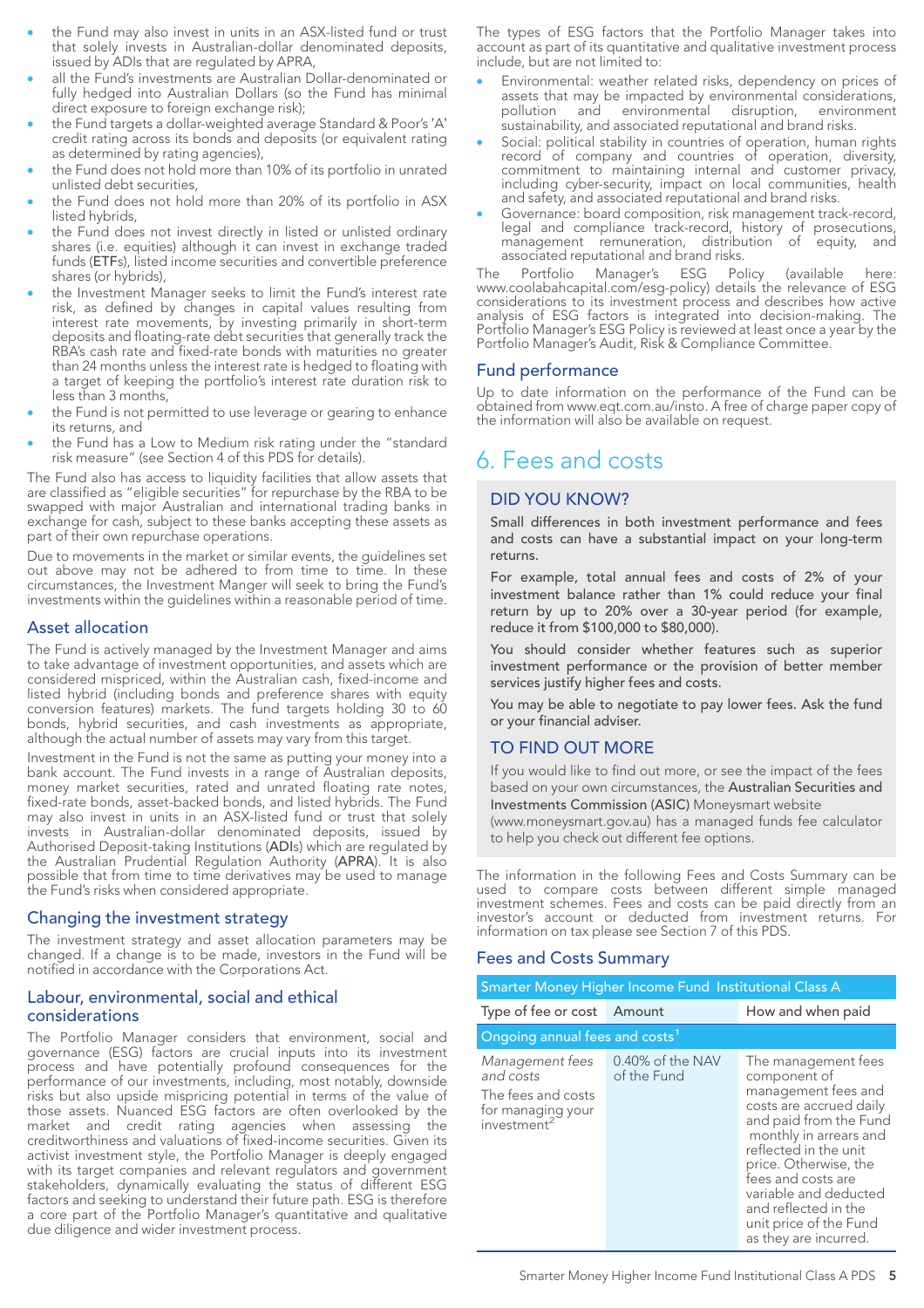- the Fund may also invest in units in an ASX-listed fund or trust that solely invests in Australian-dollar denominated deposits, issued by ADIs that are regulated by APRA,
- all the Fund's investments are Australian Dollar-denominated or fully hedged into Australian Dollars (so the Fund has minimal direct exposure to foreign exchange risk);
- the Fund targets a dollar-weighted average Standard & Poor's 'A' credit rating across its bonds and deposits (or equivalent rating as determined by rating agencies),
- the Fund does not hold more than 10% of its portfolio in unrated unlisted debt securities,
- the Fund does not hold more than 20% of its portfolio in ASX listed hybrids,
- the Fund does not invest directly in listed or unlisted ordinary shares (i.e. equities) although it can invest in exchange traded funds (ETFs), listed income securities and convertible preference shares (or hybrids),
- the Investment Manager seeks to limit the Fund's interest rate risk, as defined by changes in capital values resulting from interest rate movements, by investing primarily in short-term deposits and floating-rate debt securities that generally track the RBA's cash rate and fixed-rate bonds with maturities no greater than 24 months unless the interest rate is hedged to floating with a target of keeping the portfolio's interest rate duration risk to less than 3 months,
- the Fund is not permitted to use leverage or gearing to enhance its returns, and
- the Fund has a Low to Medium risk rating under the "standard risk measure" (see Section 4 of this PDS for details).

The Fund also has access to liquidity facilities that allow assets that are classified as "eligible securities" for repurchase by the RBA to be swapped with major Australian and international trading banks in exchange for cash, subject to these banks accepting these assets as part of their own repurchase operations.

Due to movements in the market or similar events, the guidelines set out above may not be adhered to from time to time. In these circumstances, the Investment Manger will seek to bring the Fund's investments within the guidelines within a reasonable period of time.

#### Asset allocation

The Fund is actively managed by the Investment Manager and aims to take advantage of investment opportunities, and assets which are considered mispriced, within the Australian cash, fixed-income and listed hybrid (including bonds and preference shares with equity conversion features) markets. The fund targets holding 30 to 60 bonds, hybrid securities, and cash investments as appropriate, although the actual number of assets may vary from this target.

Investment in the Fund is not the same as putting your money into a bank account. The Fund invests in a range of Australian deposits, money market securities, rated and unrated floating rate notes, fixed-rate bonds, asset-backed bonds, and listed hybrids. The Fund may also invest in units in an ASX-listed fund or trust that solely invests in Australian-dollar denominated deposits, issued by Authorised Deposit-taking Institutions (ADIs) which are regulated by the Australian Prudential Regulation Authority (APRA). It is also possible that from time to time derivatives may be used to manage the Fund's risks when considered appropriate.

#### Changing the investment strategy

The investment strategy and asset allocation parameters may be changed. If a change is to be made, investors in the Fund will be notified in accordance with the Corporations Act.

#### Labour, environmental, social and ethical considerations

The Portfolio Manager considers that environment, social and governance (ESG) factors are crucial inputs into its investment process and have potentially profound consequences for the performance of our investments, including, most notably, downside risks but also upside mispricing potential in terms of the value of those assets. Nuanced ESG factors are often overlooked by the market and credit rating agencies when assessing the creditworthiness and valuations of fixed-income securities. Given its activist investment style, the Portfolio Manager is deeply engaged with its target companies and relevant regulators and government stakeholders, dynamically evaluating the status of different ESG factors and seeking to understand their future path. ESG is therefore a core part of the Portfolio Manager's quantitative and qualitative due diligence and wider investment process.

The types of ESG factors that the Portfolio Manager takes into account as part of its quantitative and qualitative investment process include, but are not limited to:

- Environmental: weather related risks, dependency on prices of assets that may be impacted by environmental considerations, pollution and environmental disruption, environment sustainability, and associated reputational and brand risks.
- Social: political stability in countries of operation, human rights record of company and countries of operation, diversity, commitment to maintaining internal and customer privacy, including cyber-security, impact on local communities, health and safety, and associated reputational and brand risks.
- Governance: board composition, risk management track-record, legal and compliance track-record, history of prosecutions, management remuneration, distribution of equity, and associated reputational and brand risks.

The Portfolio Manager's ESG Policy (available here: www.coolabahcapital.com/esg-policy) details the relevance of ESG considerations to its investment process and describes how active analysis of ESG factors is integrated into decision-making. The Portfolio Manager's ESG Policy is reviewed at least once a year by the Portfolio Manager's Audit, Risk & Compliance Committee.

#### Fund performance

Up to date information on the performance of the Fund can be obtained from www.eqt.com.au/insto. A free of charge paper copy of the information will also be available on request.

# 6. Fees and costs

#### DID YOU KNOW?

Small differences in both investment performance and fees and costs can have a substantial impact on your long-term returns.

For example, total annual fees and costs of 2% of your investment balance rather than 1% could reduce your final return by up to 20% over a 30-year period (for example, reduce it from \$100,000 to \$80,000).

You should consider whether features such as superior investment performance or the provision of better member services justify higher fees and costs.

You may be able to negotiate to pay lower fees. Ask the fund or your financial adviser.

#### TO FIND OUT MORE

If you would like to find out more, or see the impact of the fees based on your own circumstances, the Australian Securities and Investments Commission (ASIC) Moneysmart website

(www.moneysmart.gov.au) has a managed funds fee calculator to help you check out different fee options.

The information in the following Fees and Costs Summary can be used to compare costs between different simple managed investment schemes. Fees and costs can be paid directly from an investor's account or deducted from investment returns. For information on tax please see Section 7 of this PDS.

#### Fees and Costs Summary

| Smarter Money Higher Income Fund Institutional Class A                                             |                                 |                                                                                                                                                                                                                                                                                                                       |  |  |
|----------------------------------------------------------------------------------------------------|---------------------------------|-----------------------------------------------------------------------------------------------------------------------------------------------------------------------------------------------------------------------------------------------------------------------------------------------------------------------|--|--|
| Type of fee or cost                                                                                | Amount                          | How and when paid                                                                                                                                                                                                                                                                                                     |  |  |
| Ongoing annual fees and costs <sup>1</sup>                                                         |                                 |                                                                                                                                                                                                                                                                                                                       |  |  |
| Management fees<br>and costs<br>The fees and costs<br>for managing your<br>investment <sup>2</sup> | 0.40% of the NAV<br>of the Fund | The management fees<br>component of<br>management fees and<br>costs are accrued daily<br>and paid from the Fund<br>monthly in arrears and<br>reflected in the unit<br>price. Otherwise, the<br>fees and costs are<br>variable and deducted<br>and reflected in the<br>unit price of the Fund<br>as they are incurred. |  |  |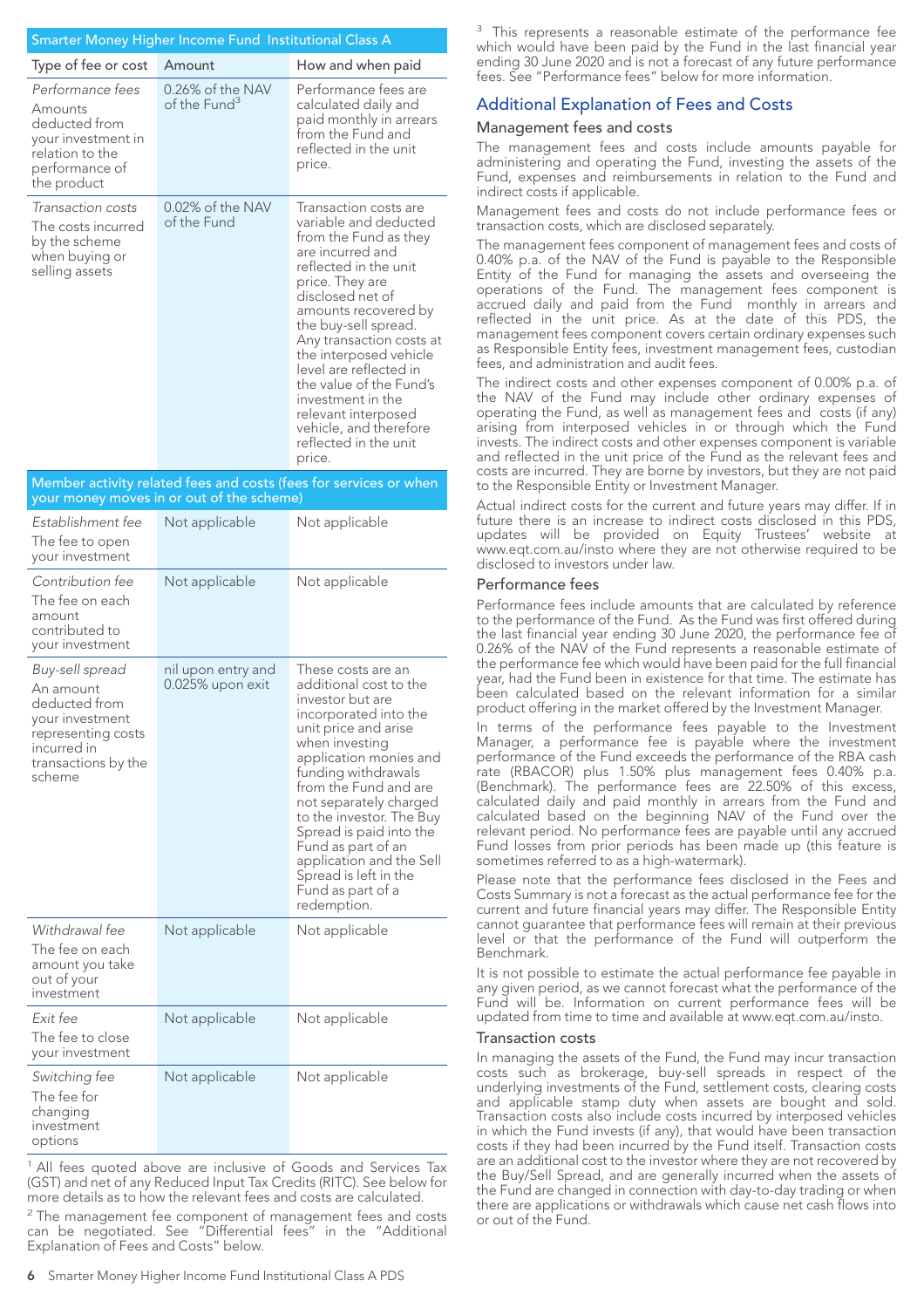| Smarter Money Higher Income Fund Institutional Class A                                                                 |                                              |                                                                                                                                                                                                                                                                                                                                                                                                                                 |  |  |
|------------------------------------------------------------------------------------------------------------------------|----------------------------------------------|---------------------------------------------------------------------------------------------------------------------------------------------------------------------------------------------------------------------------------------------------------------------------------------------------------------------------------------------------------------------------------------------------------------------------------|--|--|
| Type of fee or cost                                                                                                    | Amount                                       | How and when paid                                                                                                                                                                                                                                                                                                                                                                                                               |  |  |
| Performance fees<br>Amounts<br>deducted from<br>your investment in<br>relation to the<br>performance of<br>the product | 0.26% of the NAV<br>of the Fund <sup>3</sup> | Performance fees are<br>calculated daily and<br>paid monthly in arrears<br>from the Fund and<br>reflected in the unit<br>price.                                                                                                                                                                                                                                                                                                 |  |  |
| Transaction costs<br>The costs incurred<br>by the scheme<br>when buying or<br>selling assets                           | 0.02% of the NAV<br>of the Fund              | Transaction costs are<br>variable and deducted<br>from the Fund as they<br>are incurred and<br>reflected in the unit<br>price. They are<br>disclosed net of<br>amounts recovered by<br>the buy-sell spread.<br>Any transaction costs at<br>the interposed vehicle<br>level are reflected in<br>the value of the Fund's<br>investment in the<br>relevant interposed<br>vehicle, and therefore<br>reflected in the unit<br>price. |  |  |
| Member activity related fees and costs (fees for services or when                                                      |                                              |                                                                                                                                                                                                                                                                                                                                                                                                                                 |  |  |

#### Member activity related fees and costs (fees for services or when your money moves in or out of the scheme)

| Establishment fee<br>The fee to open<br>your investment                                                                                | Not applicable                         | Not applicable                                                                                                                                                                                                                                                                                                                                                                                                |
|----------------------------------------------------------------------------------------------------------------------------------------|----------------------------------------|---------------------------------------------------------------------------------------------------------------------------------------------------------------------------------------------------------------------------------------------------------------------------------------------------------------------------------------------------------------------------------------------------------------|
| Contribution fee<br>The fee on each<br>amount<br>contributed to<br>your investment                                                     | Not applicable                         | Not applicable                                                                                                                                                                                                                                                                                                                                                                                                |
| Buy-sell spread<br>An amount<br>deducted from<br>your investment<br>representing costs<br>incurred in<br>transactions by the<br>scheme | nil upon entry and<br>0.025% upon exit | These costs are an<br>additional cost to the<br>investor but are<br>incorporated into the<br>unit price and arise<br>when investing<br>application monies and<br>funding withdrawals<br>from the Fund and are<br>not separately charged<br>to the investor. The Buy<br>Spread is paid into the<br>Fund as part of an<br>application and the Sell<br>Spread is left in the<br>Fund as part of a<br>redemption. |
| Withdrawal fee<br>The fee on each<br>amount you take<br>out of your<br>investment                                                      | Not applicable                         | Not applicable                                                                                                                                                                                                                                                                                                                                                                                                |
| Fxit fee<br>The fee to close<br>your investment                                                                                        | Not applicable                         | Not applicable                                                                                                                                                                                                                                                                                                                                                                                                |
| Switching fee<br>The fee for<br>changing<br>investment<br>options                                                                      | Not applicable                         | Not applicable                                                                                                                                                                                                                                                                                                                                                                                                |

<sup>1</sup> All fees quoted above are inclusive of Goods and Services Tax (GST) and net of any Reduced Input Tax Credits (RITC). See below for more details as to how the relevant fees and costs are calculated.

 $2$  The management fee component of management fees and costs can be negotiated. See "Differential fees" in the "Additional Explanation of Fees and Costs" below.

<sup>3</sup> This represents a reasonable estimate of the performance fee which would have been paid by the Fund in the last financial year ending 30 June 2020 and is not a forecast of any future performance fees. See "Performance fees" below for more information.

### Additional Explanation of Fees and Costs

#### Management fees and costs

The management fees and costs include amounts payable for administering and operating the Fund, investing the assets of the Fund, expenses and reimbursements in relation to the Fund and indirect costs if applicable.

Management fees and costs do not include performance fees or transaction costs, which are disclosed separately.

The management fees component of management fees and costs of 0.40% p.a. of the NAV of the Fund is payable to the Responsible Entity of the Fund for managing the assets and overseeing the operations of the Fund. The management fees component is accrued daily and paid from the Fund monthly in arrears and reflected in the unit price. As at the date of this PDS, the management fees component covers certain ordinary expenses such as Responsible Entity fees, investment management fees, custodian fees, and administration and audit fees.

The indirect costs and other expenses component of 0.00% p.a. of the NAV of the Fund may include other ordinary expenses of operating the Fund, as well as management fees and costs (if any) arising from interposed vehicles in or through which the Fund invests. The indirect costs and other expenses component is variable and reflected in the unit price of the Fund as the relevant fees and costs are incurred. They are borne by investors, but they are not paid to the Responsible Entity or Investment Manager.

Actual indirect costs for the current and future years may differ. If in future there is an increase to indirect costs disclosed in this PDS, updates will be provided on Equity Trustees' website at www.eqt.com.au/insto where they are not otherwise required to be disclosed to investors under law.

#### Performance fees

Performance fees include amounts that are calculated by reference to the performance of the Fund. As the Fund was first offered during the last financial year ending 30 June 2020, the performance fee of 0.26% of the NAV of the Fund represents a reasonable estimate of the performance fee which would have been paid for the full financial year, had the Fund been in existence for that time. The estimate has been calculated based on the relevant information for a similar product offering in the market offered by the Investment Manager.

In terms of the performance fees payable to the Investment Manager, a performance fee is payable where the investment performance of the Fund exceeds the performance of the RBA cash rate (RBACOR) plus 1.50% plus management fees 0.40% p.a. (Benchmark). The performance fees are 22.50% of this excess, calculated daily and paid monthly in arrears from the Fund and calculated based on the beginning NAV of the Fund over the relevant period. No performance fees are payable until any accrued Fund losses from prior periods has been made up (this feature is sometimes referred to as a high-watermark).

Please note that the performance fees disclosed in the Fees and Costs Summary is not a forecast as the actual performance fee for the current and future financial years may differ. The Responsible Entity cannot guarantee that performance fees will remain at their previous level or that the performance of the Fund will outperform the Benchmark.

It is not possible to estimate the actual performance fee payable in any given period, as we cannot forecast what the performance of the Fund will be. Information on current performance fees will be updated from time to time and available at www.eqt.com.au/insto.

#### Transaction costs

In managing the assets of the Fund, the Fund may incur transaction costs such as brokerage, buy-sell spreads in respect of the underlying investments of the Fund, settlement costs, clearing costs and applicable stamp duty when assets are bought and sold. Transaction costs also include costs incurred by interposed vehicles in which the Fund invests (if any), that would have been transaction costs if they had been incurred by the Fund itself. Transaction costs are an additional cost to the investor where they are not recovered by the Buy/Sell Spread, and are generally incurred when the assets of the Fund are changed in connection with day-to-day trading or when there are applications or withdrawals which cause net cash flows into or out of the Fund.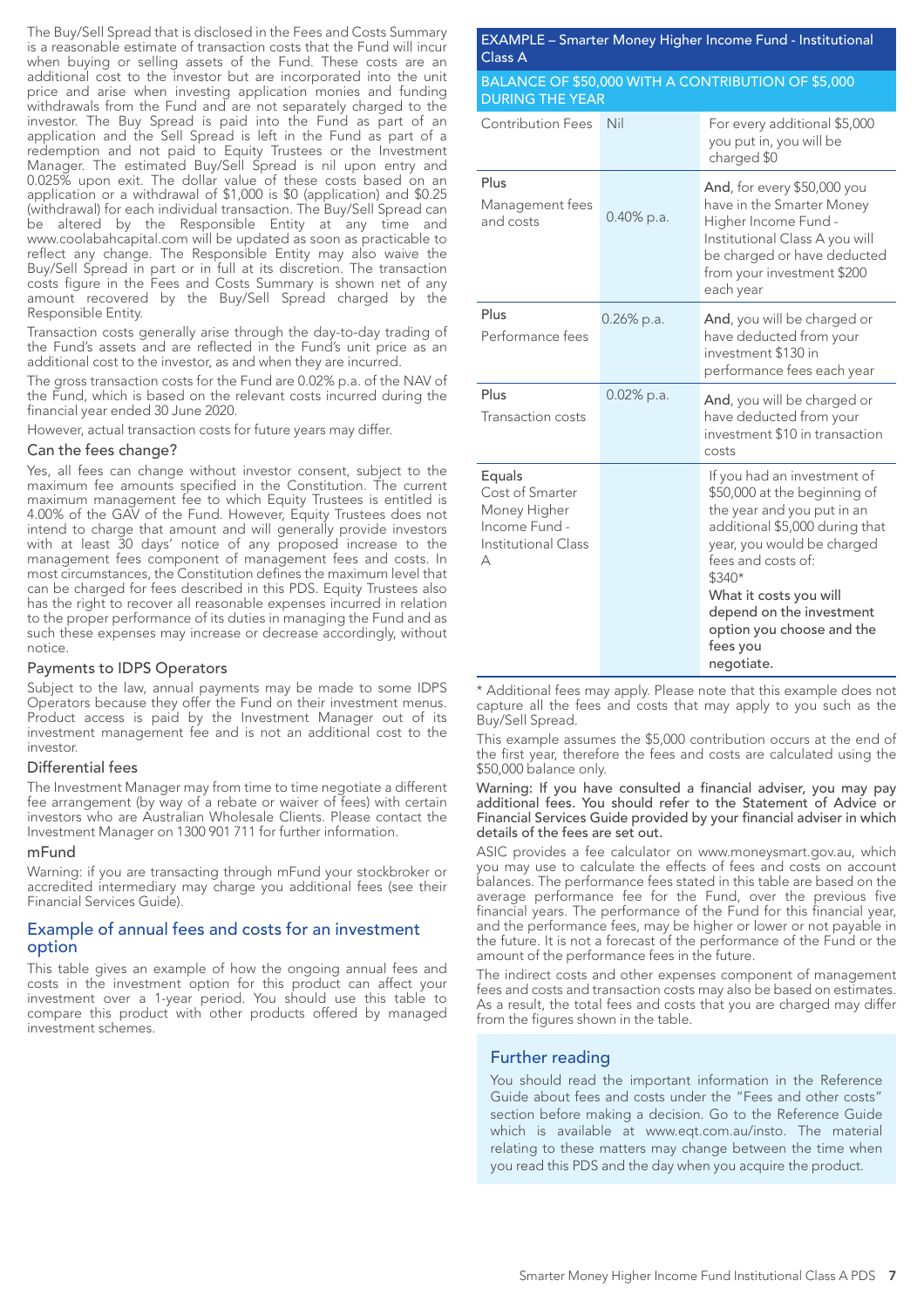The Buy/Sell Spread that is disclosed in the Fees and Costs Summary is a reasonable estimate of transaction costs that the Fund will incur when buying or selling assets of the Fund. These costs are an additional cost to the investor but are incorporated into the unit price and arise when investing application monies and funding withdrawals from the Fund and are not separately charged to the investor. The Buy Spread is paid into the Fund as part of an application and the Sell Spread is left in the Fund as part of a redemption and not paid to Equity Trustees or the Investment Manager. The estimated Buy/Sell Spread is nil upon entry and 0.025% upon exit. The dollar value of these costs based on an application or a withdrawal of \$1,000 is \$0 (application) and \$0.25 (withdrawal) for each individual transaction. The Buy/Sell Spread can be altered by the Responsible Entity at any time and www.coolabahcapital.com will be updated as soon as practicable to reflect any change. The Responsible Entity may also waive the Buy/Sell Spread in part or in full at its discretion. The transaction costs figure in the Fees and Costs Summary is shown net of any amount recovered by the Buy/Sell Spread charged by the Responsible Entity.

Transaction costs generally arise through the day-to-day trading of the Fund's assets and are reflected in the Fund's unit price as an additional cost to the investor, as and when they are incurred.

The gross transaction costs for the Fund are 0.02% p.a. of the NAV of the Fund, which is based on the relevant costs incurred during the financial year ended 30 June 2020.

However, actual transaction costs for future years may differ.

#### Can the fees change?

Yes, all fees can change without investor consent, subject to the maximum fee amounts specified in the Constitution. The current maximum management fee to which Equity Trustees is entitled is 4.00% of the GAV of the Fund. However, Equity Trustees does not intend to charge that amount and will generally provide investors with at least 30 days' notice of any proposed increase to the management fees component of management fees and costs. In most circumstances, the Constitution defines the maximum level that can be charged for fees described in this PDS. Equity Trustees also has the right to recover all reasonable expenses incurred in relation to the proper performance of its duties in managing the Fund and as such these expenses may increase or decrease accordingly, without notice.

#### Payments to IDPS Operators

Subject to the law, annual payments may be made to some IDPS Operators because they offer the Fund on their investment menus. Product access is paid by the Investment Manager out of its investment management fee and is not an additional cost to the investor.

#### Differential fees

The Investment Manager may from time to time negotiate a different fee arrangement (by way of a rebate or waiver of fees) with certain investors who are Australian Wholesale Clients. Please contact the Investment Manager on 1300 901 711 for further information.

#### mFund

Warning: if you are transacting through mFund your stockbroker or accredited intermediary may charge you additional fees (see their Financial Services Guide).

#### Example of annual fees and costs for an investment option

This table gives an example of how the ongoing annual fees and costs in the investment option for this product can affect your investment over a 1-year period. You should use this table to compare this product with other products offered by managed investment schemes.

EXAMPLE – Smarter Money Higher Income Fund - Institutional Class A

#### BALANCE OF \$50,000 WITH A CONTRIBUTION OF \$5,000 DURING THE YEAR

| <b>Contribution Fees</b>                                                               | Nil           | For every additional \$5,000<br>you put in, you will be<br>charged \$0                                                                                                                                                                                                                                 |
|----------------------------------------------------------------------------------------|---------------|--------------------------------------------------------------------------------------------------------------------------------------------------------------------------------------------------------------------------------------------------------------------------------------------------------|
| Plus<br>Management fees<br>and costs                                                   | 0.40% p.a.    | And, for every \$50,000 you<br>have in the Smarter Money<br>Higher Income Fund -<br>Institutional Class A you will<br>be charged or have deducted<br>from your investment \$200<br>each year                                                                                                           |
| Plus<br>Performance fees                                                               | $0.26\%$ p.a. | And, you will be charged or<br>have deducted from your<br>investment \$130 in<br>performance fees each year                                                                                                                                                                                            |
| Plus<br>Transaction costs                                                              | $0.02\%$ p.a. | And, you will be charged or<br>have deducted from your<br>investment \$10 in transaction<br>costs                                                                                                                                                                                                      |
| Equals<br>Cost of Smarter<br>Money Higher<br>Income Fund -<br>Institutional Class<br>А |               | If you had an investment of<br>\$50,000 at the beginning of<br>the year and you put in an<br>additional \$5,000 during that<br>year, you would be charged<br>fees and costs of:<br>\$340*<br>What it costs you will<br>depend on the investment<br>option you choose and the<br>fees you<br>negotiate. |

\* Additional fees may apply. Please note that this example does not capture all the fees and costs that may apply to you such as the Buy/Sell Spread.

This example assumes the \$5,000 contribution occurs at the end of the first year, therefore the fees and costs are calculated using the \$50,000 balance only.

#### Warning: If you have consulted a financial adviser, you may pay additional fees. You should refer to the Statement of Advice or Financial Services Guide provided by your financial adviser in which details of the fees are set out.

ASIC provides a fee calculator on www.moneysmart.gov.au, which you may use to calculate the effects of fees and costs on account balances. The performance fees stated in this table are based on the average performance fee for the Fund, over the previous five financial years. The performance of the Fund for this financial year, and the performance fees, may be higher or lower or not payable in the future. It is not a forecast of the performance of the Fund or the amount of the performance fees in the future.

The indirect costs and other expenses component of management fees and costs and transaction costs may also be based on estimates. As a result, the total fees and costs that you are charged may differ from the figures shown in the table.

#### Further reading

You should read the important information in the Reference Guide about fees and costs under the "Fees and other costs" section before making a decision. Go to the Reference Guide which is available at www.eqt.com.au/insto. The material relating to these matters may change between the time when you read this PDS and the day when you acquire the product.